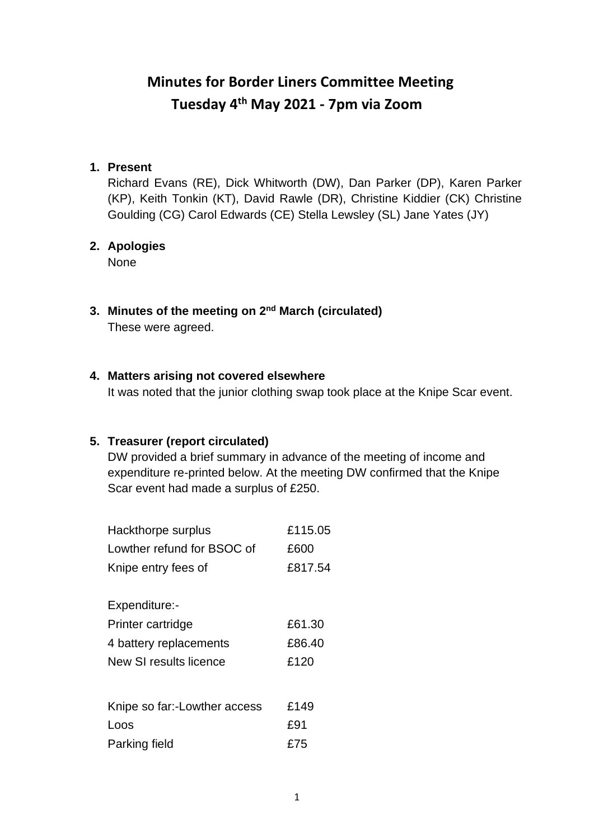# **Minutes for Border Liners Committee Meeting Tuesday 4th May 2021 - 7pm via Zoom**

#### **1. Present**

Richard Evans (RE), Dick Whitworth (DW), Dan Parker (DP), Karen Parker (KP), Keith Tonkin (KT), David Rawle (DR), Christine Kiddier (CK) Christine Goulding (CG) Carol Edwards (CE) Stella Lewsley (SL) Jane Yates (JY)

#### **2. Apologies**

None

**3. Minutes of the meeting on 2 nd March (circulated)** These were agreed.

#### **4. Matters arising not covered elsewhere**

It was noted that the junior clothing swap took place at the Knipe Scar event.

### **5. Treasurer (report circulated)**

DW provided a brief summary in advance of the meeting of income and expenditure re-printed below. At the meeting DW confirmed that the Knipe Scar event had made a surplus of £250.

| Hackthorpe surplus           | £115.05 |
|------------------------------|---------|
| Lowther refund for BSOC of   | £600    |
| Knipe entry fees of          | £817.54 |
| Expenditure:-                |         |
| Printer cartridge            | £61.30  |
| 4 battery replacements       | £86.40  |
| New SI results licence       | £120    |
|                              |         |
| Knipe so far:-Lowther access | £149    |
| Loos                         | £91     |
| Parking field                | £75     |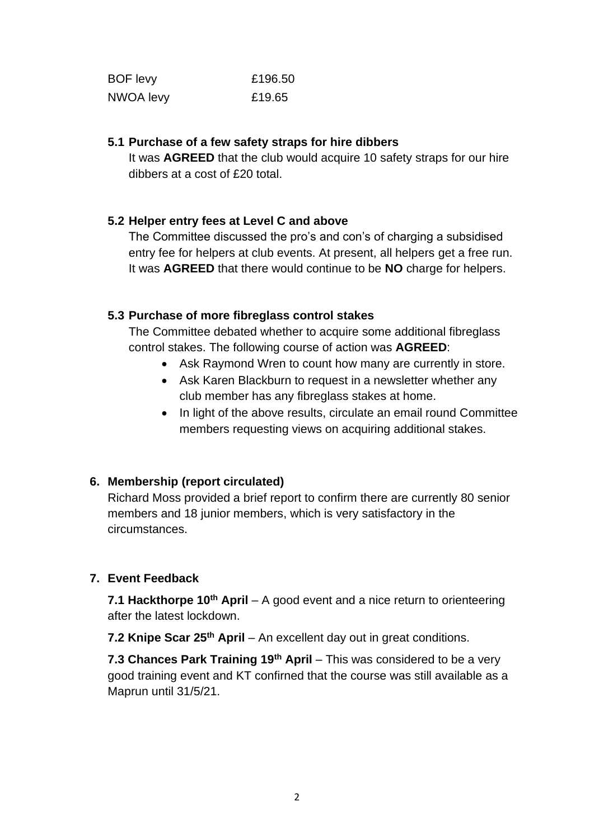| <b>BOF</b> levy | £196.50 |
|-----------------|---------|
| NWOA levy       | £19.65  |

#### **5.1 Purchase of a few safety straps for hire dibbers**

It was **AGREED** that the club would acquire 10 safety straps for our hire dibbers at a cost of £20 total.

### **5.2 Helper entry fees at Level C and above**

The Committee discussed the pro's and con's of charging a subsidised entry fee for helpers at club events. At present, all helpers get a free run. It was **AGREED** that there would continue to be **NO** charge for helpers.

#### **5.3 Purchase of more fibreglass control stakes**

The Committee debated whether to acquire some additional fibreglass control stakes. The following course of action was **AGREED**:

- Ask Raymond Wren to count how many are currently in store.
- Ask Karen Blackburn to request in a newsletter whether any club member has any fibreglass stakes at home.
- In light of the above results, circulate an email round Committee members requesting views on acquiring additional stakes.

### **6. Membership (report circulated)**

Richard Moss provided a brief report to confirm there are currently 80 senior members and 18 junior members, which is very satisfactory in the circumstances.

### **7. Event Feedback**

**7.1 Hackthorpe 10th April** – A good event and a nice return to orienteering after the latest lockdown.

**7.2 Knipe Scar 25th April** – An excellent day out in great conditions.

**7.3 Chances Park Training 19th April** – This was considered to be a very good training event and KT confirned that the course was still available as a Maprun until 31/5/21.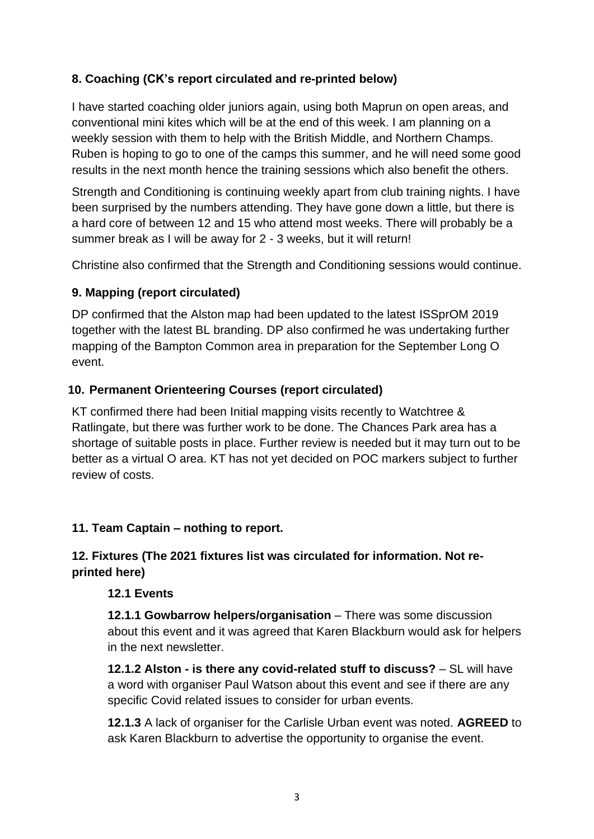# **8. Coaching (CK's report circulated and re-printed below)**

I have started coaching older juniors again, using both Maprun on open areas, and conventional mini kites which will be at the end of this week. I am planning on a weekly session with them to help with the British Middle, and Northern Champs. Ruben is hoping to go to one of the camps this summer, and he will need some good results in the next month hence the training sessions which also benefit the others.

Strength and Conditioning is continuing weekly apart from club training nights. I have been surprised by the numbers attending. They have gone down a little, but there is a hard core of between 12 and 15 who attend most weeks. There will probably be a summer break as I will be away for 2 - 3 weeks, but it will return!

Christine also confirmed that the Strength and Conditioning sessions would continue.

## **9. Mapping (report circulated)**

DP confirmed that the Alston map had been updated to the latest ISSprOM 2019 together with the latest BL branding. DP also confirmed he was undertaking further mapping of the Bampton Common area in preparation for the September Long O event.

## **10. Permanent Orienteering Courses (report circulated)**

KT confirmed there had been Initial mapping visits recently to Watchtree & Ratlingate, but there was further work to be done. The Chances Park area has a shortage of suitable posts in place. Further review is needed but it may turn out to be better as a virtual O area. KT has not yet decided on POC markers subject to further review of costs.

## **11. Team Captain – nothing to report.**

## **12. Fixtures (The 2021 fixtures list was circulated for information. Not reprinted here)**

## **12.1 Events**

**12.1.1 Gowbarrow helpers/organisation** – There was some discussion about this event and it was agreed that Karen Blackburn would ask for helpers in the next newsletter.

**12.1.2 Alston - is there any covid-related stuff to discuss?** – SL will have a word with organiser Paul Watson about this event and see if there are any specific Covid related issues to consider for urban events.

**12.1.3** A lack of organiser for the Carlisle Urban event was noted. **AGREED** to ask Karen Blackburn to advertise the opportunity to organise the event.